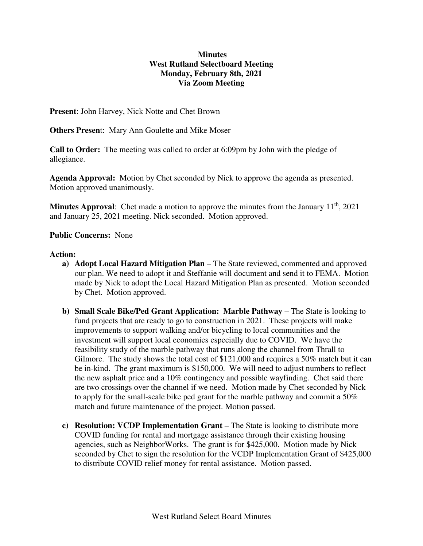## **Minutes West Rutland Selectboard Meeting Monday, February 8th, 2021 Via Zoom Meeting**

**Present**: John Harvey, Nick Notte and Chet Brown

**Others Presen**t: Mary Ann Goulette and Mike Moser

**Call to Order:** The meeting was called to order at 6:09pm by John with the pledge of allegiance.

**Agenda Approval:** Motion by Chet seconded by Nick to approve the agenda as presented. Motion approved unanimously.

**Minutes Approval**: Chet made a motion to approve the minutes from the January 11<sup>th</sup>, 2021 and January 25, 2021 meeting. Nick seconded. Motion approved.

## **Public Concerns:** None

## **Action:**

- **a) Adopt Local Hazard Mitigation Plan –** The State reviewed, commented and approved our plan. We need to adopt it and Steffanie will document and send it to FEMA. Motion made by Nick to adopt the Local Hazard Mitigation Plan as presented. Motion seconded by Chet. Motion approved.
- **b) Small Scale Bike/Ped Grant Application: Marble Pathway –** The State is looking to fund projects that are ready to go to construction in 2021. These projects will make improvements to support walking and/or bicycling to local communities and the investment will support local economies especially due to COVID. We have the feasibility study of the marble pathway that runs along the channel from Thrall to Gilmore. The study shows the total cost of \$121,000 and requires a 50% match but it can be in-kind. The grant maximum is \$150,000. We will need to adjust numbers to reflect the new asphalt price and a 10% contingency and possible wayfinding. Chet said there are two crossings over the channel if we need. Motion made by Chet seconded by Nick to apply for the small-scale bike ped grant for the marble pathway and commit a 50% match and future maintenance of the project. Motion passed.
- **c) Resolution: VCDP Implementation Grant –** The State is looking to distribute more COVID funding for rental and mortgage assistance through their existing housing agencies, such as NeighborWorks. The grant is for \$425,000. Motion made by Nick seconded by Chet to sign the resolution for the VCDP Implementation Grant of \$425,000 to distribute COVID relief money for rental assistance. Motion passed.